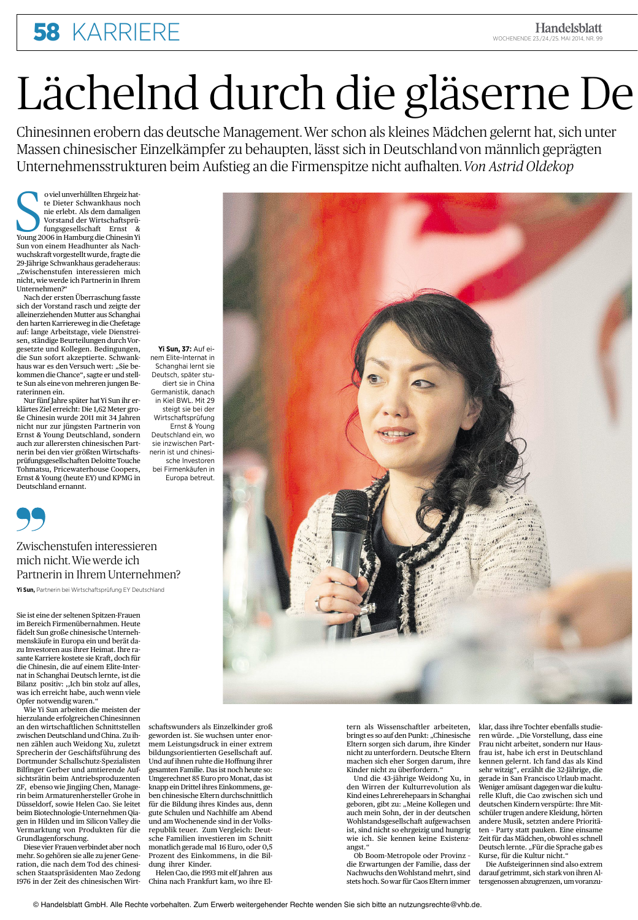# **58 KARRIERE**

Chinesinnen erobern das deutsche Management. Wer schon als kleines Mädchen gelernt hat, sich unter Massen chinesischer Einzelkämpfer zu behaupten, lässt sich in Deutschland von männlich geprägten Unternehmensstrukturen beim Aufstieg an die Firmenspitze nicht aufhalten. Von Astrid Oldekop

o viel unverhüllten Ehrgeiz hatte Dieter Schwankhaus noch nie erlebt. Als dem damaligen Vorstand der Wirtschaftsprüfungsgesellschaft Ernst & Young 2006 in Hamburg die Chinesin Yi Sun von einem Headhunter als Nachwuchskraft vorgestellt wurde, fragte die 29-Jährige Schwankhaus geradeheraus: "Zwischenstufen interessieren mich nicht, wie werde ich Partnerin in Ihrem Unternehmen?

Nach der ersten Überraschung fasste sich der Vorstand rasch und zeigte der alleinerziehenden Mutter aus Schanghai den harten Karriereweg in die Chefetage auf: lange Arbeitstage, viele Dienstreisen, ständige Beurteilungen durch Vorgesetzte und Kollegen. Bedingungen, die Sun sofort akzeptierte. Schwankhaus war es den Versuch wert: "Sie bekommen die Chance", sagte er und stellte Sun als eine von mehreren jungen Beraterinnen ein

Nur fünf Jahre später hat Yi Sun ihr erklärtes Ziel erreicht: Die 1,62 Meter große Chinesin wurde 2011 mit 34 Jahren nicht nur zur jüngsten Partnerin von Ernst & Young Deutschland, sondern auch zur allerersten chinesischen Partnerin bei den vier größten Wirtschaftsprüfungsgesellschaften Deloitte Touche Tohmatsu, Pricewaterhouse Coopers, Ernst & Young (heute EY) und KPMG in Deutschland ernannt.





### Zwischenstufen interessieren mich nicht. Wie werde ich Partnerin in Ihrem Unternehmen?

Yi Sun, Partnerin bei Wirtschaftsprüfung EY Deutschland

Sie ist eine der seltenen Spitzen-Frauen im Bereich Firmenübernahmen. Heute fädelt Sun große chinesische Unternehmenskäufe in Europa ein und berät dazu Investoren aus ihrer Heimat. Ihre rasante Karriere kostete sie Kraft, doch für die Chinesin, die auf einem Elite-Internat in Schanghai Deutsch lernte, ist die Bilanz positiv: "Ich bin stolz auf alles, was ich erreicht habe, auch wenn viele Opfer notwendig waren."

Wie Yi Sun arbeiten die meisten der hierzulande erfolgreichen Chinesinnen nen zählen auch Weidong Xu, zuletzt Sprecherin der Geschäftsführung des Dortmunder Schallschutz-Spezialisten Bilfinger Gerber und amtierende Aufsichtsrätin beim Antriebsproduzenten ZF, ebenso wie Jingjing Chen, Managerin beim Armaturenhersteller Grohe in Düsseldorf, sowie Helen Cao. Sie leitet beim Biotechnologie-Unternehmen Oiagen in Hilden und im Silicon Valley die Vermarktung von Produkten für die Grundlagenforschung.

Diese vier Frauen verbindet aber noch mehr. So gehören sie alle zu jener Generation, die nach dem Tod des chinesischen Staatspräsidenten Mao Zedong 1976 in der Zeit des chinesischen Wirt-



an den wirtschaftlichen Schnittstellen schaftswunders als Einzelkinder groß zwischen Deutschland und China. Zu ih- geworden ist. Sie wuchsen unter enormem Leistungsdruck in einer extrem bildungsorientierten Gesellschaft auf. Und auf ihnen ruhte die Hoffnung ihrer gesamten Familie. Das ist noch heute so: Umgerechnet 85 Euro pro Monat, das ist knapp ein Drittel ihres Einkommens, geben chinesische Eltern durchschnittlich für die Bildung ihres Kindes aus, denn gute Schulen und Nachhilfe am Abend und am Wochenende sind in der Volksrepublik teuer. Zum Vergleich: Deutsche Familien investieren im Schnitt monatlich gerade mal 16 Euro, oder 0,5 Prozent des Einkommens, in die Bildung ihrer Kinder.

Helen Cao, die 1993 mit elf Jahren aus China nach Frankfurt kam, wo ihre Eltern als Wissenschaftler arbeiteten, klar, dass ihre Tochter ebenfalls studienicht zu unterfordern. Deutsche Eltern machen sich eher Sorgen darum, ihre Kinder nicht zu überfordern."

Und die 43-jährige Weidong Xu, in den Wirren der Kulturrevolution als Kind eines Lehrerehepaars in Schanghai geboren, gibt zu: "Meine Kollegen und auch mein Sohn, der in der deutschen Wohlstandsgesellschaft aufgewachsen ist, sind nicht so ehrgeizig und hungrig wie ich. Sie kennen keine Existenzangst."

Ob Boom-Metropole oder Provinz die Erwartungen der Familie, dass der Nachwuchs den Wohlstand mehrt, sind stets hoch. So war für Caos Eltern immer

bringt es so auf den Punkt: "Chinesische ren würde. "Die Vorstellung, dass eine Eltern sorgen sich darum, ihre Kinder Frau nicht arbeitet, sondern nur Hausfrau ist, habe ich erst in Deutschland kennen gelernt. Ich fand das als Kind sehr witzig", erzählt die 32-Jährige, die gerade in San Francisco Urlaub macht. Weniger amüsant dagegen war die kulturelle Kluft, die Cao zwischen sich und deutschen Kindern verspürte: Ihre Mitschüler trugen andere Kleidung, hörten andere Musik, setzten andere Prioritäten - Party statt pauken. Eine einsame Zeit für das Mädchen, obwohl es schnell Deutsch lernte. "Für die Sprache gab es Kurse, für die Kultur nicht."

**Handelsblatt** 

WOCHENENDE 23./24./25. MAI 2014, NR. 99

Die Aufsteigerinnen sind also extrem darauf getrimmt, sich stark von ihren Altersgenossen abzugrenzen, um voranzu-